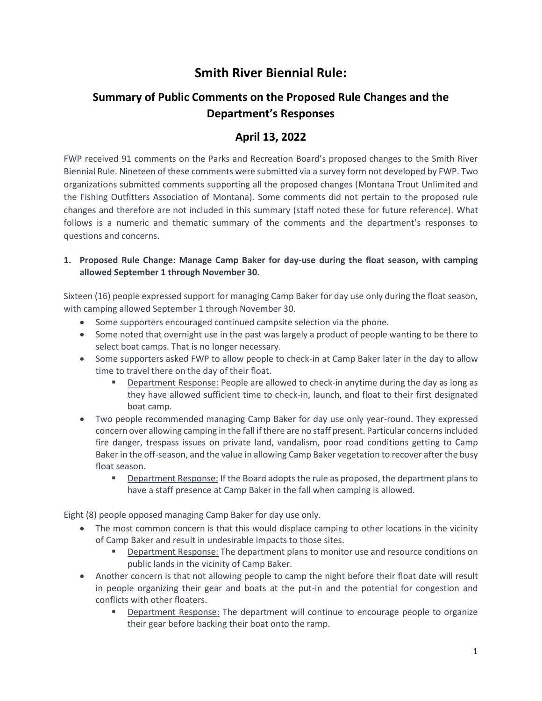# **Smith River Biennial Rule:**

## **Summary of Public Comments on the Proposed Rule Changes and the Department's Responses**

### **April 13, 2022**

FWP received 91 comments on the Parks and Recreation Board's proposed changes to the Smith River Biennial Rule. Nineteen of these comments were submitted via a survey form not developed by FWP. Two organizations submitted comments supporting all the proposed changes (Montana Trout Unlimited and the Fishing Outfitters Association of Montana). Some comments did not pertain to the proposed rule changes and therefore are not included in this summary (staff noted these for future reference). What follows is a numeric and thematic summary of the comments and the department's responses to questions and concerns.

#### **1. Proposed Rule Change: Manage Camp Baker for day-use during the float season, with camping allowed September 1 through November 30.**

Sixteen (16) people expressed support for managing Camp Baker for day use only during the float season, with camping allowed September 1 through November 30.

- Some supporters encouraged continued campsite selection via the phone.
- Some noted that overnight use in the past was largely a product of people wanting to be there to select boat camps. That is no longer necessary.
- Some supporters asked FWP to allow people to check-in at Camp Baker later in the day to allow time to travel there on the day of their float.
	- Department Response: People are allowed to check-in anytime during the day as long as they have allowed sufficient time to check-in, launch, and float to their first designated boat camp.
- Two people recommended managing Camp Baker for day use only year-round. They expressed concern over allowing camping in the fall if there are no staff present. Particular concerns included fire danger, trespass issues on private land, vandalism, poor road conditions getting to Camp Baker in the off-season, and the value in allowing Camp Baker vegetation to recover after the busy float season.
	- **Department Response: If the Board adopts the rule as proposed, the department plans to** have a staff presence at Camp Baker in the fall when camping is allowed.

Eight (8) people opposed managing Camp Baker for day use only.

- The most common concern is that this would displace camping to other locations in the vicinity of Camp Baker and result in undesirable impacts to those sites.
	- Department Response: The department plans to monitor use and resource conditions on public lands in the vicinity of Camp Baker.
- Another concern is that not allowing people to camp the night before their float date will result in people organizing their gear and boats at the put-in and the potential for congestion and conflicts with other floaters.
	- Department Response: The department will continue to encourage people to organize their gear before backing their boat onto the ramp.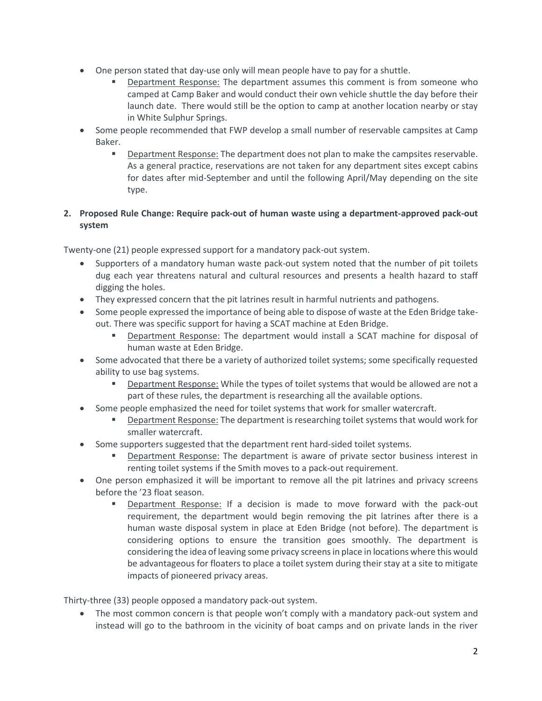- One person stated that day-use only will mean people have to pay for a shuttle.
	- Department Response: The department assumes this comment is from someone who camped at Camp Baker and would conduct their own vehicle shuttle the day before their launch date. There would still be the option to camp at another location nearby or stay in White Sulphur Springs.
- Some people recommended that FWP develop a small number of reservable campsites at Camp Baker.
	- **Department Response: The department does not plan to make the campsites reservable.** As a general practice, reservations are not taken for any department sites except cabins for dates after mid-September and until the following April/May depending on the site type.

#### **2. Proposed Rule Change: Require pack-out of human waste using a department-approved pack-out system**

Twenty-one (21) people expressed support for a mandatory pack-out system.

- Supporters of a mandatory human waste pack-out system noted that the number of pit toilets dug each year threatens natural and cultural resources and presents a health hazard to staff digging the holes.
- They expressed concern that the pit latrines result in harmful nutrients and pathogens.
- Some people expressed the importance of being able to dispose of waste at the Eden Bridge takeout. There was specific support for having a SCAT machine at Eden Bridge.
	- Department Response: The department would install a SCAT machine for disposal of human waste at Eden Bridge.
- Some advocated that there be a variety of authorized toilet systems; some specifically requested ability to use bag systems.
	- **Department Response:** While the types of toilet systems that would be allowed are not a part of these rules, the department is researching all the available options.
- Some people emphasized the need for toilet systems that work for smaller watercraft.
	- Department Response: The department is researching toilet systems that would work for smaller watercraft.
- Some supporters suggested that the department rent hard-sided toilet systems.
	- **Department Response:** The department is aware of private sector business interest in renting toilet systems if the Smith moves to a pack-out requirement.
- One person emphasized it will be important to remove all the pit latrines and privacy screens before the '23 float season.
	- Department Response: If a decision is made to move forward with the pack-out requirement, the department would begin removing the pit latrines after there is a human waste disposal system in place at Eden Bridge (not before). The department is considering options to ensure the transition goes smoothly. The department is considering the idea of leaving some privacy screens in place in locations where this would be advantageous for floaters to place a toilet system during their stay at a site to mitigate impacts of pioneered privacy areas.

Thirty-three (33) people opposed a mandatory pack-out system.

• The most common concern is that people won't comply with a mandatory pack-out system and instead will go to the bathroom in the vicinity of boat camps and on private lands in the river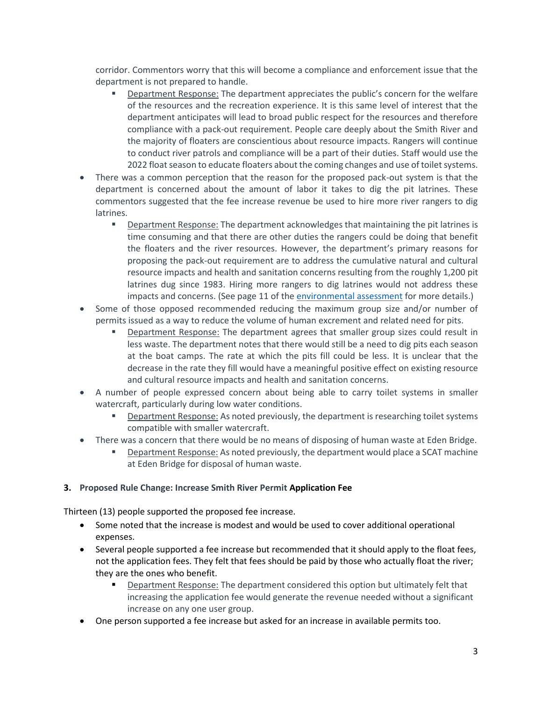corridor. Commentors worry that this will become a compliance and enforcement issue that the department is not prepared to handle.

- Department Response: The department appreciates the public's concern for the welfare of the resources and the recreation experience. It is this same level of interest that the department anticipates will lead to broad public respect for the resources and therefore compliance with a pack-out requirement. People care deeply about the Smith River and the majority of floaters are conscientious about resource impacts. Rangers will continue to conduct river patrols and compliance will be a part of their duties. Staff would use the 2022 float season to educate floaters about the coming changes and use of toilet systems.
- There was a common perception that the reason for the proposed pack-out system is that the department is concerned about the amount of labor it takes to dig the pit latrines. These commentors suggested that the fee increase revenue be used to hire more river rangers to dig latrines.
	- Department Response: The department acknowledges that maintaining the pit latrines is time consuming and that there are other duties the rangers could be doing that benefit the floaters and the river resources. However, the department's primary reasons for proposing the pack-out requirement are to address the cumulative natural and cultural resource impacts and health and sanitation concerns resulting from the roughly 1,200 pit latrines dug since 1983. Hiring more rangers to dig latrines would not address these impacts and concerns. (See page 11 of the [environmental assessment](https://fwp.mt.gov/binaries/content/assets/fwp/stateparks/smith-river/smith-river-plan-update---draft-eax.pdf) for more details.)
- Some of those opposed recommended reducing the maximum group size and/or number of permits issued as a way to reduce the volume of human excrement and related need for pits.
	- Department Response: The department agrees that smaller group sizes could result in less waste. The department notes that there would still be a need to dig pits each season at the boat camps. The rate at which the pits fill could be less. It is unclear that the decrease in the rate they fill would have a meaningful positive effect on existing resource and cultural resource impacts and health and sanitation concerns.
- A number of people expressed concern about being able to carry toilet systems in smaller watercraft, particularly during low water conditions.
	- **EXECT** Department Response: As noted previously, the department is researching toilet systems compatible with smaller watercraft.
- There was a concern that there would be no means of disposing of human waste at Eden Bridge.
	- Department Response: As noted previously, the department would place a SCAT machine at Eden Bridge for disposal of human waste.

#### **3. Proposed Rule Change: Increase Smith River Permit Application Fee**

Thirteen (13) people supported the proposed fee increase.

- Some noted that the increase is modest and would be used to cover additional operational expenses.
- Several people supported a fee increase but recommended that it should apply to the float fees, not the application fees. They felt that fees should be paid by those who actually float the river; they are the ones who benefit.
	- **•** Department Response: The department considered this option but ultimately felt that increasing the application fee would generate the revenue needed without a significant increase on any one user group.
- One person supported a fee increase but asked for an increase in available permits too.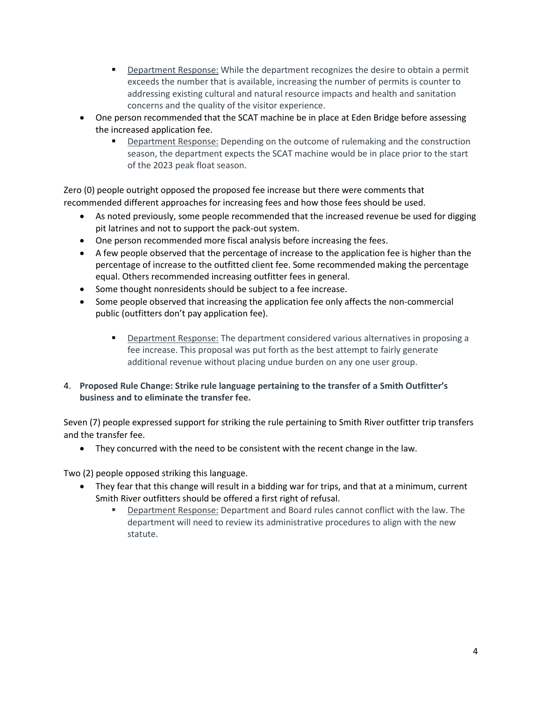- **•** Department Response: While the department recognizes the desire to obtain a permit exceeds the number that is available, increasing the number of permits is counter to addressing existing cultural and natural resource impacts and health and sanitation concerns and the quality of the visitor experience.
- One person recommended that the SCAT machine be in place at Eden Bridge before assessing the increased application fee.
	- Department Response: Depending on the outcome of rulemaking and the construction season, the department expects the SCAT machine would be in place prior to the start of the 2023 peak float season.

Zero (0) people outright opposed the proposed fee increase but there were comments that recommended different approaches for increasing fees and how those fees should be used.

- As noted previously, some people recommended that the increased revenue be used for digging pit latrines and not to support the pack-out system.
- One person recommended more fiscal analysis before increasing the fees.
- A few people observed that the percentage of increase to the application fee is higher than the percentage of increase to the outfitted client fee. Some recommended making the percentage equal. Others recommended increasing outfitter fees in general.
- Some thought nonresidents should be subject to a fee increase.
- Some people observed that increasing the application fee only affects the non-commercial public (outfitters don't pay application fee).
	- **Department Response: The department considered various alternatives in proposing a** fee increase. This proposal was put forth as the best attempt to fairly generate additional revenue without placing undue burden on any one user group.
- 4. **Proposed Rule Change: Strike rule language pertaining to the transfer of a Smith Outfitter's business and to eliminate the transfer fee.**

Seven (7) people expressed support for striking the rule pertaining to Smith River outfitter trip transfers and the transfer fee.

• They concurred with the need to be consistent with the recent change in the law.

Two (2) people opposed striking this language.

- They fear that this change will result in a bidding war for trips, and that at a minimum, current Smith River outfitters should be offered a first right of refusal.
	- Department Response: Department and Board rules cannot conflict with the law. The department will need to review its administrative procedures to align with the new statute.